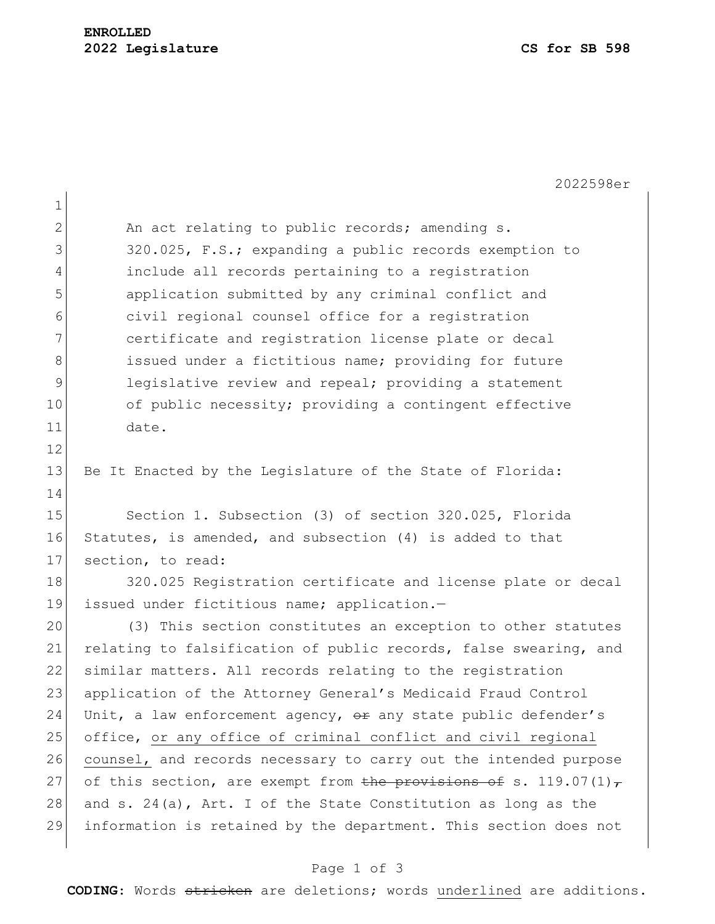1

2022598er

2 An act relating to public records; amending s. 3 320.025, F.S.; expanding a public records exemption to 4 include all records pertaining to a registration 5 **b** application submitted by any criminal conflict and 6 6 civil regional counsel office for a registration 7 **certificate and registration license plate or decal** 8 issued under a fictitious name; providing for future 9 1eqislative review and repeal; providing a statement 10 of public necessity; providing a contingent effective 11 date. 12 13 Be It Enacted by the Legislature of the State of Florida: 14 15 Section 1. Subsection (3) of section 320.025, Florida 16 Statutes, is amended, and subsection (4) is added to that 17 section, to read: 18 320.025 Registration certificate and license plate or decal 19 issued under fictitious name; application.— 20 (3) This section constitutes an exception to other statutes 21 relating to falsification of public records, false swearing, and 22 similar matters. All records relating to the registration 23 application of the Attorney General's Medicaid Fraud Control 24 Unit, a law enforcement agency,  $\theta$  any state public defender's 25 office, or any office of criminal conflict and civil regional 26 counsel, and records necessary to carry out the intended purpose 27 of this section, are exempt from the provisions of s. 119.07(1) $\tau$ 28 and s. 24(a), Art. I of the State Constitution as long as the 29 information is retained by the department. This section does not

## Page 1 of 3

**CODING**: Words stricken are deletions; words underlined are additions.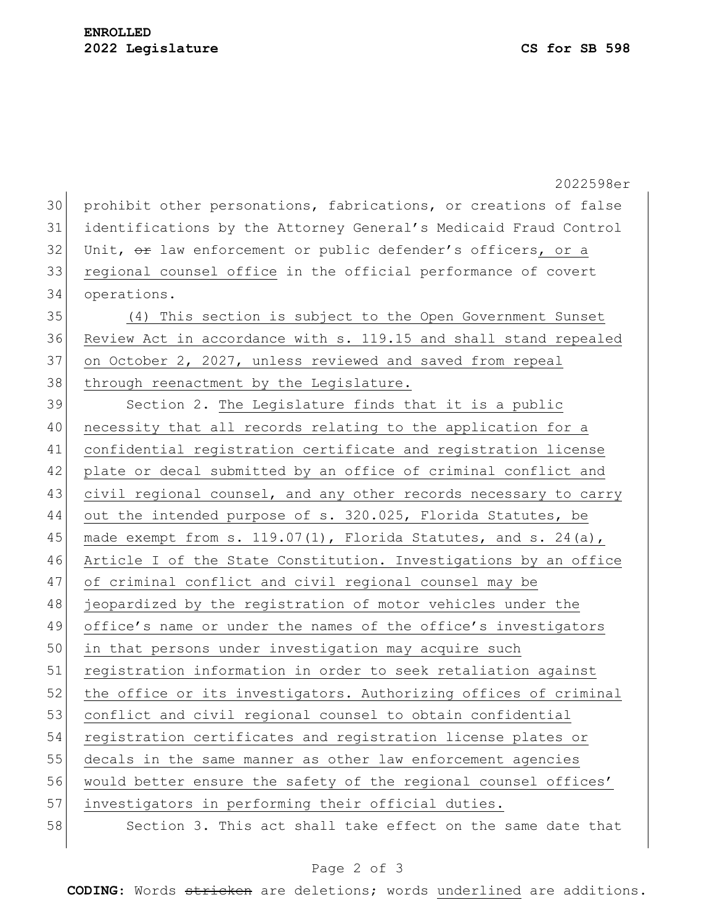|    | 2022598er                                                        |
|----|------------------------------------------------------------------|
| 30 | prohibit other personations, fabrications, or creations of false |
| 31 | identifications by the Attorney General's Medicaid Fraud Control |
| 32 | Unit, or law enforcement or public defender's officers, or a     |
| 33 | regional counsel office in the official performance of covert    |
| 34 | operations.                                                      |
| 35 | (4) This section is subject to the Open Government Sunset        |
| 36 | Review Act in accordance with s. 119.15 and shall stand repealed |
| 37 | on October 2, 2027, unless reviewed and saved from repeal        |
| 38 | through reenactment by the Legislature.                          |
| 39 | Section 2. The Legislature finds that it is a public             |
| 40 | necessity that all records relating to the application for a     |
| 41 | confidential registration certificate and registration license   |
| 42 | plate or decal submitted by an office of criminal conflict and   |
| 43 | civil regional counsel, and any other records necessary to carry |
| 44 | out the intended purpose of s. 320.025, Florida Statutes, be     |
| 45 | made exempt from s. 119.07(1), Florida Statutes, and s. 24(a),   |
| 46 | Article I of the State Constitution. Investigations by an office |
| 47 | of criminal conflict and civil regional counsel may be           |
| 48 | jeopardized by the registration of motor vehicles under the      |
| 49 | office's name or under the names of the office's investigators   |
| 50 | in that persons under investigation may acquire such             |
| 51 | registration information in order to seek retaliation against    |
| 52 | the office or its investigators. Authorizing offices of criminal |
| 53 | conflict and civil regional counsel to obtain confidential       |
| 54 | registration certificates and registration license plates or     |
| 55 | decals in the same manner as other law enforcement agencies      |
| 56 | would better ensure the safety of the regional counsel offices'  |
| 57 | investigators in performing their official duties.               |
| 58 | Section 3. This act shall take effect on the same date that      |

## Page 2 of 3

**CODING**: Words stricken are deletions; words underlined are additions.